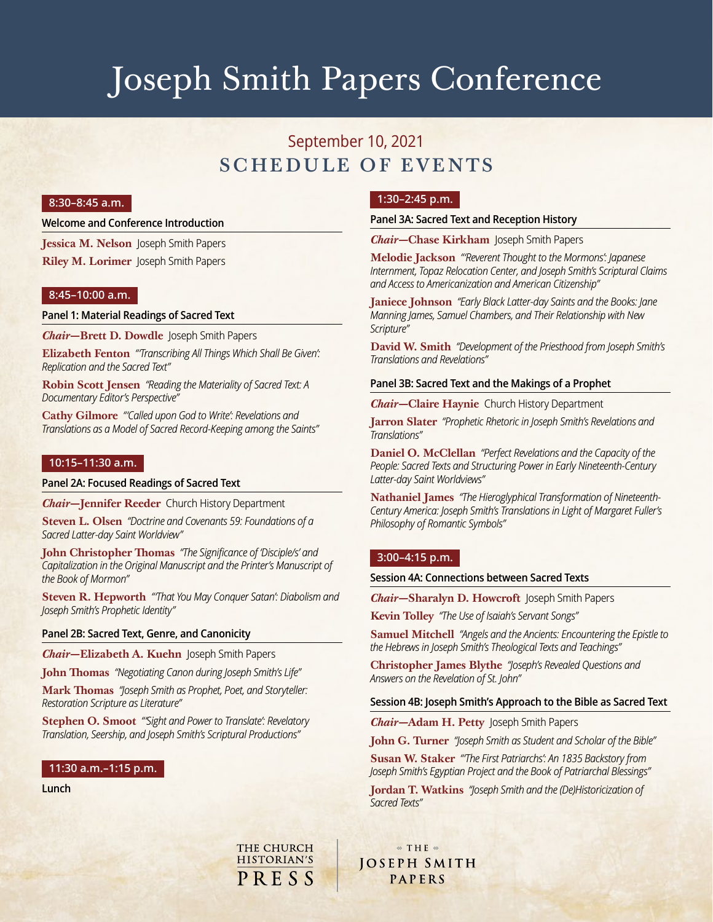# Joseph Smith Papers Conference

# September 10, 2021 SCHEDULE OF EVENTS

# **8:30–8:45 a.m.**

#### **Welcome and Conference Introduction**

**Jessica M. Nelson** Joseph Smith Papers **Riley M. Lorimer** Joseph Smith Papers

# **8:45–10:00 a.m.**

#### **Panel 1: Material Readings of Sacred Text**

*Chair—***Brett D. Dowdle** Joseph Smith Papers

**Elizabeth Fenton** *"'Transcribing All Things Which Shall Be Given': Replication and the Sacred Text"*

**Robin Scott Jensen** *"Reading the Materiality of Sacred Text: A Documentary Editor's Perspective"*

**Cathy Gilmore** *"'Called upon God to Write': Revelations and Translations as a Model of Sacred Record-Keeping among the Saints"*

#### **10:15–11:30 a.m.**

#### **Panel 2A: Focused Readings of Sacred Text**

*Chair—***Jennifer Reeder** Church History Department

**Steven L. Olsen** *"Doctrine and Covenants 59: Foundations of a Sacred Latter-day Saint Worldview"*

**John Christopher Thomas** *"The Significance of 'Disciple/s' and Capitalization in the Original Manuscript and the Printer's Manuscript of the Book of Mormon"*

**Steven R. Hepworth** *"'That You May Conquer Satan': Diabolism and Joseph Smith's Prophetic Identity"*

# **Panel 2B: Sacred Text, Genre, and Canonicity**

*Chair—***Elizabeth A. Kuehn** Joseph Smith Papers

**John Thomas** *"Negotiating Canon during Joseph Smith's Life"*

**Mark Thomas** *"Joseph Smith as Prophet, Poet, and Storyteller: Restoration Scripture as Literature"*

**Stephen O. Smoot** *"'Sight and Power to Translate': Revelatory Translation, Seership, and Joseph Smith's Scriptural Productions"*

**THE CHURCH** 

**HISTORIAN'S** 

PRESS

# **11:30 a.m.–1:15 p.m.**

**Lunch**

# **1:30–2:45 p.m.**

#### **Panel 3A: Sacred Text and Reception History**

*Chair—***Chase Kirkham** Joseph Smith Papers

**Melodie Jackson** *"'Reverent Thought to the Mormons': Japanese Internment, Topaz Relocation Center, and Joseph Smith's Scriptural Claims and Access to Americanization and American Citizenship"*

**Janiece Johnson** *"Early Black Latter-day Saints and the Books: Jane Manning James, Samuel Chambers, and Their Relationship with New Scripture"*

**David W. Smith** *"Development of the Priesthood from Joseph Smith's Translations and Revelations"*

#### **Panel 3B: Sacred Text and the Makings of a Prophet**

*Chair—***Claire Haynie** Church History Department

**Jarron Slater** *"Prophetic Rhetoric in Joseph Smith's Revelations and Translations"*

**Daniel O. McClellan** *"Perfect Revelations and the Capacity of the People: Sacred Texts and Structuring Power in Early Nineteenth-Century Latter-day Saint Worldviews"*

**Nathaniel James** *"The Hieroglyphical Transformation of Nineteenth-Century America: Joseph Smith's Translations in Light of Margaret Fuller's Philosophy of Romantic Symbols"*

### **3:00–4:15 p.m.**

**Session 4A: Connections between Sacred Texts**

*Chair—***Sharalyn D. Howcroft** Joseph Smith Papers

**Kevin Tolley** *"The Use of Isaiah's Servant Songs"*

**Samuel Mitchell** *"Angels and the Ancients: Encountering the Epistle to the Hebrews in Joseph Smith's Theological Texts and Teachings"*

**Christopher James Blythe** *"Joseph's Revealed Questions and Answers on the Revelation of St. John"*

#### **Session 4B: Joseph Smith's Approach to the Bible as Sacred Text**

*Chair—***Adam H. Petty** Joseph Smith Papers

**John G. Turner** *"Joseph Smith as Student and Scholar of the Bible"*

**Susan W. Staker** *"'The First Patriarchs': An 1835 Backstory from Joseph Smith's Egyptian Project and the Book of Patriarchal Blessings"*

**Jordan T. Watkins** *"Joseph Smith and the (De)Historicization of Sacred Texts"*

 $\textcirc$  THE  $\textcirc$ **JOSEPH SMITH** PAPERS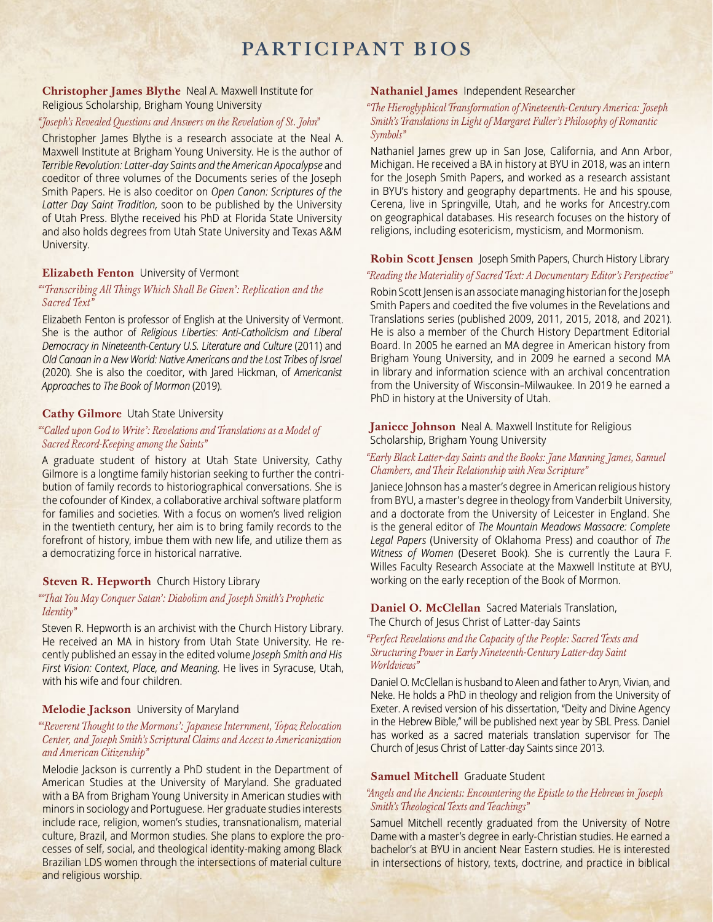# PARTICIPANT BIOS

# **Christopher James Blythe** Neal A. Maxwell Institute for Religious Scholarship, Brigham Young University

# *"Joseph's Revealed Questions and Answers on the Revelation of St. John"*

Christopher James Blythe is a research associate at the Neal A. Maxwell Institute at Brigham Young University. He is the author of *Terrible Revolution: Latter-day Saints and the American Apocalypse* and coeditor of three volumes of the Documents series of the Joseph Smith Papers. He is also coeditor on *Open Canon: Scriptures of the Latter Day Saint Tradition,* soon to be published by the University of Utah Press. Blythe received his PhD at Florida State University and also holds degrees from Utah State University and Texas A&M University.

#### **Elizabeth Fenton** University of Vermont

# *"'Transcribing All Things Which Shall Be Given': Replication and the Sacred Text"*

Elizabeth Fenton is professor of English at the University of Vermont. She is the author of *Religious Liberties: Anti-Catholicism and Liberal Democracy in Nineteenth-Century U.S. Literature and Culture* (2011) and *Old Canaan in a New World: Native Americans and the Lost Tribes of Israel* (2020). She is also the coeditor, with Jared Hickman, of *Americanist Approaches to The Book of Mormon* (2019).

#### **Cathy Gilmore** Utah State University

#### *"'Called upon God to Write': Revelations and Translations as a Model of Sacred Record-Keeping among the Saints"*

A graduate student of history at Utah State University, Cathy Gilmore is a longtime family historian seeking to further the contribution of family records to historiographical conversations. She is the cofounder of Kindex, a collaborative archival software platform for families and societies. With a focus on women's lived religion in the twentieth century, her aim is to bring family records to the forefront of history, imbue them with new life, and utilize them as a democratizing force in historical narrative.

#### **Steven R. Hepworth** Church History Library

#### *"'That You May Conquer Satan': Diabolism and Joseph Smith's Prophetic Identity"*

Steven R. Hepworth is an archivist with the Church History Library. He received an MA in history from Utah State University. He recently published an essay in the edited volume *Joseph Smith and His First Vision: Context, Place, and Meaning.* He lives in Syracuse, Utah, with his wife and four children.

#### **Melodie Jackson** University of Maryland

### *"'Reverent Thought to the Mormons': Japanese Internment, Topaz Relocation Center, and Joseph Smith's Scriptural Claims and Access to Americanization and American Citizenship"*

Melodie Jackson is currently a PhD student in the Department of American Studies at the University of Maryland. She graduated with a BA from Brigham Young University in American studies with minors in sociology and Portuguese. Her graduate studies interests include race, religion, women's studies, transnationalism, material culture, Brazil, and Mormon studies. She plans to explore the processes of self, social, and theological identity-making among Black Brazilian LDS women through the intersections of material culture and religious worship.

# **Nathaniel James** Independent Researcher

# *"The Hieroglyphical Transformation of Nineteenth-Century America: Joseph Smith's Translations in Light of Margaret Fuller's Philosophy of Romantic Symbols"*

Nathaniel James grew up in San Jose, California, and Ann Arbor, Michigan. He received a BA in history at BYU in 2018, was an intern for the Joseph Smith Papers, and worked as a research assistant in BYU's history and geography departments. He and his spouse, Cerena, live in Springville, Utah, and he works for Ancestry.com on geographical databases. His research focuses on the history of religions, including esotericism, mysticism, and Mormonism.

#### **Robin Scott Jensen** Joseph Smith Papers, Church History Library

### *"Reading the Materiality of Sacred Text: A Documentary Editor's Perspective"*

Robin Scott Jensen is an associate managing historian for the Joseph Smith Papers and coedited the five volumes in the Revelations and Translations series (published 2009, 2011, 2015, 2018, and 2021). He is also a member of the Church History Department Editorial Board. In 2005 he earned an MA degree in American history from Brigham Young University, and in 2009 he earned a second MA in library and information science with an archival concentration from the University of Wisconsin–Milwaukee. In 2019 he earned a PhD in history at the University of Utah.

# **Janiece Johnson** Neal A. Maxwell Institute for Religious Scholarship, Brigham Young University

#### *"Early Black Latter-day Saints and the Books: Jane Manning James, Samuel Chambers, and Their Relationship with New Scripture"*

Janiece Johnson has a master's degree in American religious history from BYU, a master's degree in theology from Vanderbilt University, and a doctorate from the University of Leicester in England. She is the general editor of *The Mountain Meadows Massacre: Complete Legal Papers* (University of Oklahoma Press) and coauthor of *The Witness of Women* (Deseret Book). She is currently the Laura F. Willes Faculty Research Associate at the Maxwell Institute at BYU, working on the early reception of the Book of Mormon.

#### **Daniel O. McClellan** Sacred Materials Translation, The Church of Jesus Christ of Latter-day Saints

#### *"Perfect Revelations and the Capacity of the People: Sacred Texts and Structuring Power in Early Nineteenth-Century Latter-day Saint Worldviews"*

Daniel O. McClellan is husband to Aleen and father to Aryn, Vivian, and Neke. He holds a PhD in theology and religion from the University of Exeter. A revised version of his dissertation, "Deity and Divine Agency in the Hebrew Bible," will be published next year by SBL Press. Daniel has worked as a sacred materials translation supervisor for The Church of Jesus Christ of Latter-day Saints since 2013.

#### **Samuel Mitchell** Graduate Student

# *"Angels and the Ancients: Encountering the Epistle to the Hebrews in Joseph Smith's Theological Texts and Teachings"*

Samuel Mitchell recently graduated from the University of Notre Dame with a master's degree in early-Christian studies. He earned a bachelor's at BYU in ancient Near Eastern studies. He is interested in intersections of history, texts, doctrine, and practice in biblical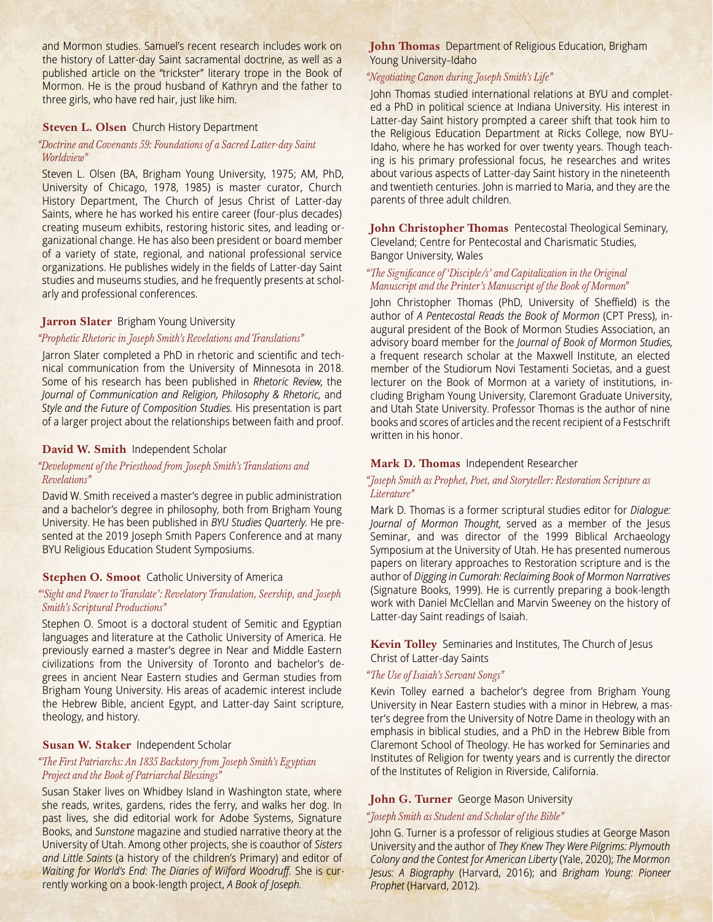and Mormon studies. Samuel's recent research includes work on the history of Latter-day Saint sacramental doctrine, as well as a published article on the "trickster" literary trope in the Book of Mormon. He is the proud husband of Kathryn and the father to three girls, who have red hair, just like him.

#### **Steven L. Olsen** Church History Department

#### *"Doctrine and Covenants 59: Foundations of a Sacred Latter-day Saint Worldview"*

Steven L. Olsen (BA, Brigham Young University, 1975; AM, PhD, University of Chicago, 1978, 1985) is master curator, Church History Department, The Church of Jesus Christ of Latter-day Saints, where he has worked his entire career (four-plus decades) creating museum exhibits, restoring historic sites, and leading organizational change. He has also been president or board member of a variety of state, regional, and national professional service organizations. He publishes widely in the fields of Latter-day Saint studies and museums studies, and he frequently presents at scholarly and professional conferences.

#### **Jarron Slater** Brigham Young University

# *"Prophetic Rhetoric in Joseph Smith's Revelations and Translations"*

Jarron Slater completed a PhD in rhetoric and scientific and technical communication from the University of Minnesota in 2018. Some of his research has been published in *Rhetoric Review,* the *Journal of Communication and Religion, Philosophy & Rhetoric,* and *Style and the Future of Composition Studies.* His presentation is part of a larger project about the relationships between faith and proof.

### **David W. Smith** Independent Scholar

# *"Development of the Priesthood from Joseph Smith's Translations and Revelations"*

David W. Smith received a master's degree in public administration and a bachelor's degree in philosophy, both from Brigham Young University. He has been published in *BYU Studies Quarterly.* He presented at the 2019 Joseph Smith Papers Conference and at many BYU Religious Education Student Symposiums.

#### **Stephen O. Smoot** Catholic University of America

# *"'Sight and Power to Translate': Revelatory Translation, Seership, and Joseph Smith's Scriptural Productions"*

Stephen O. Smoot is a doctoral student of Semitic and Egyptian languages and literature at the Catholic University of America. He previously earned a master's degree in Near and Middle Eastern civilizations from the University of Toronto and bachelor's degrees in ancient Near Eastern studies and German studies from Brigham Young University. His areas of academic interest include the Hebrew Bible, ancient Egypt, and Latter-day Saint scripture, theology, and history.

### **Susan W. Staker** Independent Scholar

#### *"The First Patriarchs: An 1835 Backstory from Joseph Smith's Egyptian Project and the Book of Patriarchal Blessings"*

Susan Staker lives on Whidbey Island in Washington state, where she reads, writes, gardens, rides the ferry, and walks her dog. In past lives, she did editorial work for Adobe Systems, Signature Books, and *Sunstone* magazine and studied narrative theory at the University of Utah. Among other projects, she is coauthor of *Sisters and Little Saints* (a history of the children's Primary) and editor of *Waiting for World's End: The Diaries of Wilford Woodruff.* She is currently working on a book-length project, *A Book of Joseph.*

# **John Thomas** Department of Religious Education, Brigham Young University–Idaho

#### *"Negotiating Canon during Joseph Smith's Life"*

John Thomas studied international relations at BYU and completed a PhD in political science at Indiana University. His interest in Latter-day Saint history prompted a career shift that took him to the Religious Education Department at Ricks College, now BYU– Idaho, where he has worked for over twenty years. Though teaching is his primary professional focus, he researches and writes about various aspects of Latter-day Saint history in the nineteenth and twentieth centuries. John is married to Maria, and they are the parents of three adult children.

**John Christopher Thomas** Pentecostal Theological Seminary, Cleveland; Centre for Pentecostal and Charismatic Studies, Bangor University, Wales

*"The Significance of 'Disciple/s' and Capitalization in the Original Manuscript and the Printer's Manuscript of the Book of Mormon"*

John Christopher Thomas (PhD, University of Sheffield) is the author of *A Pentecostal Reads the Book of Mormon* (CPT Press), inaugural president of the Book of Mormon Studies Association, an advisory board member for the *Journal of Book of Mormon Studies,*  a frequent research scholar at the Maxwell Institute, an elected member of the Studiorum Novi Testamenti Societas, and a guest lecturer on the Book of Mormon at a variety of institutions, including Brigham Young University, Claremont Graduate University, and Utah State University. Professor Thomas is the author of nine books and scores of articles and the recent recipient of a Festschrift written in his honor.

#### **Mark D. Thomas** Independent Researcher

#### *"Joseph Smith as Prophet, Poet, and Storyteller: Restoration Scripture as Literature"*

Mark D. Thomas is a former scriptural studies editor for *Dialogue: Journal of Mormon Thought,* served as a member of the Jesus Seminar, and was director of the 1999 Biblical Archaeology Symposium at the University of Utah. He has presented numerous papers on literary approaches to Restoration scripture and is the author of *Digging in Cumorah: Reclaiming Book of Mormon Narratives* (Signature Books, 1999). He is currently preparing a book-length work with Daniel McClellan and Marvin Sweeney on the history of Latter-day Saint readings of Isaiah.

**Kevin Tolley** Seminaries and Institutes, The Church of Jesus Christ of Latter-day Saints

#### *"The Use of Isaiah's Servant Songs"*

Kevin Tolley earned a bachelor's degree from Brigham Young University in Near Eastern studies with a minor in Hebrew, a master's degree from the University of Notre Dame in theology with an emphasis in biblical studies, and a PhD in the Hebrew Bible from Claremont School of Theology. He has worked for Seminaries and Institutes of Religion for twenty years and is currently the director of the Institutes of Religion in Riverside, California.

#### **John G. Turner** George Mason University

#### *"Joseph Smith as Student and Scholar of the Bible"*

John G. Turner is a professor of religious studies at George Mason University and the author of *They Knew They Were Pilgrims: Plymouth Colony and the Contest for American Liberty* (Yale, 2020); *The Mormon Jesus: A Biography* (Harvard, 2016); and *Brigham Young: Pioneer Prophet* (Harvard, 2012).